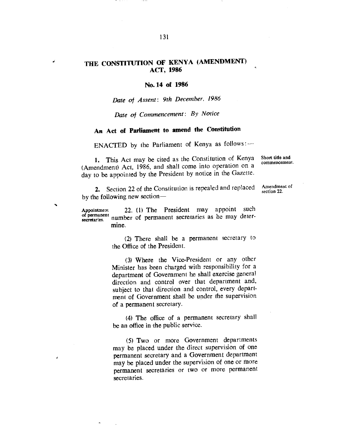## **THE CONSTITUTION OF KENYA (AMENDMENT) ACT, 1986**

## **No.14 of 1986**

*Date of Assent: 9th December, 1986* 

*Date of Commencement: By Notice* 

## **An Act of Parliament to amend the Constitution**

ENACTED by the Parliament of Kenya as follows:

1. This Act may be cited as the Constitution of Kenya (Amendment) Act, 1986, and shall come into operation on a day to be appointed by the President by notice in the Gazette.

Short title and commencement.

2. Section 22 of the Constitution is repealed and replaced by the following new section—

Amendment of section 22.

Appointment 22. (1) The President may appoint such of permanent<br>secretaries. number of permanent secretaries as he may determine.

> (2) There shall be a permanent secretary to the Office of the President.

> (3) Where the Vice-President or any other Minister has been charged with responsibility for a department of Government he shall exercise general direction and control over that department and, subject to that direction and control, every department of Government shall be under the supervision of a permanent secretary.

> (4) The office of a permanent secretary shall be an office in the public service.

(5) Two or more Government departments may be placed under the direct supervision of one permanent secretary and a Government department may be placed under the supervision of one or more permanent secretaries or two or more permanent secretaries.